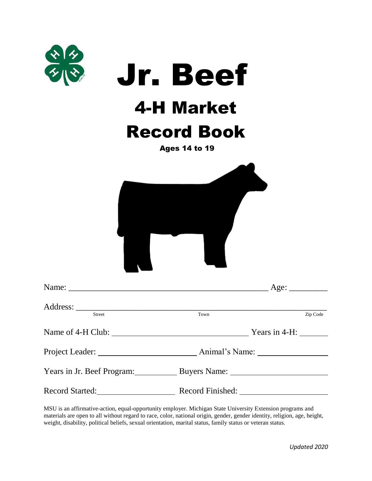| $\frac{x}{2}$                                     | <b>Jr. Beef</b><br><b>4-H Market</b><br><b>Record Book</b><br><b>Ages 14 to 19</b> |                  |
|---------------------------------------------------|------------------------------------------------------------------------------------|------------------|
|                                                   |                                                                                    |                  |
| Name: $\qquad \qquad$                             |                                                                                    | Age:             |
| Street                                            | Town                                                                               | Zip Code         |
|                                                   |                                                                                    | Years in $4-H$ : |
|                                                   |                                                                                    |                  |
| Years in Jr. Beef Program: Buyers Name: 1997      |                                                                                    |                  |
| Record Started: Record Finished: Record Finished: |                                                                                    |                  |

MSU is an affirmative-action, equal-opportunity employer. Michigan State University Extension programs and materials are open to all without regard to race, color, national origin, gender, gender identity, religion, age, height, weight, disability, political beliefs, sexual orientation, marital status, family status or veteran status.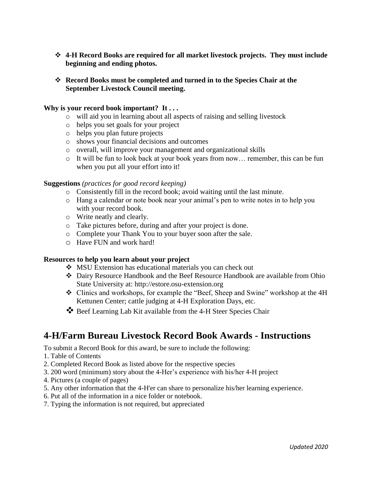- **4-H Record Books are required for all market livestock projects. They must include beginning and ending photos.**
- **Record Books must be completed and turned in to the Species Chair at the September Livestock Council meeting.**

#### **Why is your record book important? It . . .**

- o will aid you in learning about all aspects of raising and selling livestock
- o helps you set goals for your project
- o helps you plan future projects
- o shows your financial decisions and outcomes
- o overall, will improve your management and organizational skills
- o It will be fun to look back at your book years from now… remember, this can be fun when you put all your effort into it!

#### **Suggestions** *(practices for good record keeping)*

- o Consistently fill in the record book; avoid waiting until the last minute.
- o Hang a calendar or note book near your animal's pen to write notes in to help you with your record book.
- o Write neatly and clearly.
- o Take pictures before, during and after your project is done.
- o Complete your Thank You to your buyer soon after the sale.
- o Have FUN and work hard!

#### **Resources to help you learn about your project**

- MSU Extension has educational materials you can check out
- Dairy Resource Handbook and the Beef Resource Handbook are available from Ohio State University at: http://estore.osu-extension.org
- Clinics and workshops, for example the "Beef, Sheep and Swine" workshop at the 4H Kettunen Center; cattle judging at 4-H Exploration Days, etc.
- Beef Learning Lab Kit available from the 4-H Steer Species Chair

#### **4-H/Farm Bureau Livestock Record Book Awards - Instructions**

To submit a Record Book for this award, be sure to include the following:

- 1. Table of Contents
- 2. Completed Record Book as listed above for the respective species
- 3. 200 word (minimum) story about the 4-Her's experience with his/her 4-H project
- 4. Pictures (a couple of pages)
- 5. Any other information that the 4-H'er can share to personalize his/her learning experience.
- 6. Put all of the information in a nice folder or notebook.
- 7. Typing the information is not required, but appreciated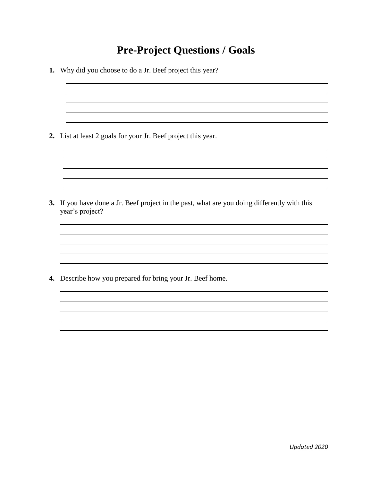#### **Pre-Project Questions / Goals**

**1.** Why did you choose to do a Jr. Beef project this year? **2.** List at least 2 goals for your Jr. Beef project this year. <u> 1980 - Johann Barnett, fransk politik (f. 1980)</u> <u> 1989 - Johann Stoff, amerikansk politiker (\* 1908)</u> **3.** If you have done a Jr. Beef project in the past, what are you doing differently with this year's project? **4.** Describe how you prepared for bring your Jr. Beef home.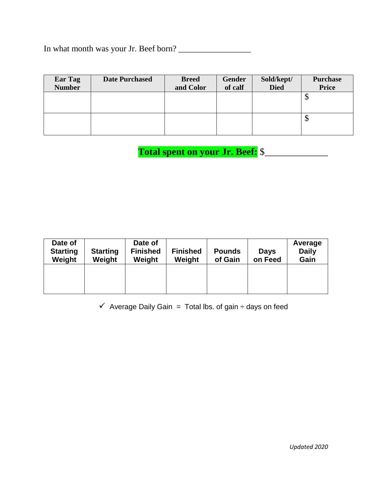In what month was your Jr. Beef born? \_\_\_\_\_\_\_\_\_\_\_\_\_\_\_\_\_

| Ear Tag<br><b>Number</b> | <b>Date Purchased</b> | <b>Breed</b><br>and Color | Gender<br>of calf | Sold/kept/<br><b>Died</b> | <b>Purchase</b><br><b>Price</b> |
|--------------------------|-----------------------|---------------------------|-------------------|---------------------------|---------------------------------|
|                          |                       |                           |                   |                           | $\downarrow$                    |
|                          |                       |                           |                   |                           | $\downarrow$                    |

 **Total spent on your Jr. Beef:** \$\_\_\_\_\_\_\_\_\_\_\_\_\_

| Date of<br><b>Starting</b><br>Weight | <b>Starting</b><br>Weight | Date of<br><b>Finished</b><br>Weight | <b>Finished</b><br>Weight | <b>Pounds</b><br>of Gain | <b>Days</b><br>on Feed | Average<br><b>Daily</b><br>Gain |
|--------------------------------------|---------------------------|--------------------------------------|---------------------------|--------------------------|------------------------|---------------------------------|
|                                      |                           |                                      |                           |                          |                        |                                 |

 $\checkmark$  Average Daily Gain = Total lbs. of gain  $\div$  days on feed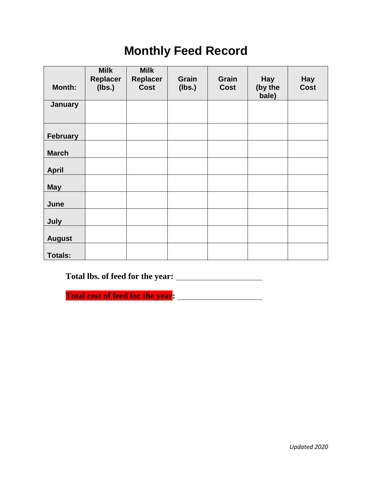# **Monthly Feed Record**

|                 | <b>Milk</b>     | <b>Milk</b>             |                 |                      |                  |                           |
|-----------------|-----------------|-------------------------|-----------------|----------------------|------------------|---------------------------|
| <b>Month:</b>   | <b>Replacer</b> | Replacer<br><b>Cost</b> | Grain<br>(lbs.) | Grain<br><b>Cost</b> | <b>Hay</b>       | <b>Hay</b><br><b>Cost</b> |
|                 | (Ibs.)          |                         |                 |                      | (by the<br>bale) |                           |
| <b>January</b>  |                 |                         |                 |                      |                  |                           |
|                 |                 |                         |                 |                      |                  |                           |
| <b>February</b> |                 |                         |                 |                      |                  |                           |
|                 |                 |                         |                 |                      |                  |                           |
| <b>March</b>    |                 |                         |                 |                      |                  |                           |
|                 |                 |                         |                 |                      |                  |                           |
| <b>April</b>    |                 |                         |                 |                      |                  |                           |
| <b>May</b>      |                 |                         |                 |                      |                  |                           |
|                 |                 |                         |                 |                      |                  |                           |
| June            |                 |                         |                 |                      |                  |                           |
| July            |                 |                         |                 |                      |                  |                           |
|                 |                 |                         |                 |                      |                  |                           |
| <b>August</b>   |                 |                         |                 |                      |                  |                           |
| <b>Totals:</b>  |                 |                         |                 |                      |                  |                           |
|                 |                 |                         |                 |                      |                  |                           |

**Total lbs. of feed for the year:** 

**Total cost of feed for the year:**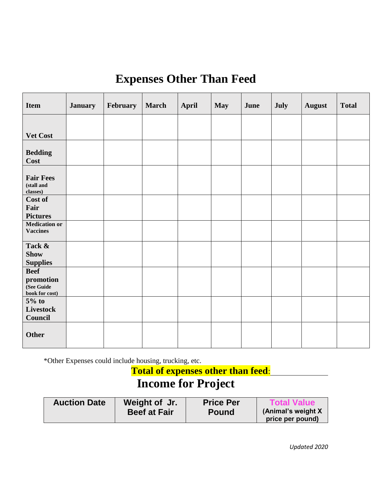# **Expenses Other Than Feed**

| <b>Item</b>                                              | <b>January</b> | February | <b>March</b> | <b>April</b> | <b>May</b> | June | July | <b>August</b> | <b>Total</b> |
|----------------------------------------------------------|----------------|----------|--------------|--------------|------------|------|------|---------------|--------------|
| Vet Cost                                                 |                |          |              |              |            |      |      |               |              |
| <b>Bedding</b><br>Cost                                   |                |          |              |              |            |      |      |               |              |
| <b>Fair Fees</b><br>(stall and<br>classes)               |                |          |              |              |            |      |      |               |              |
| Cost of<br>Fair<br><b>Pictures</b>                       |                |          |              |              |            |      |      |               |              |
| <b>Medication or</b><br><b>Vaccines</b>                  |                |          |              |              |            |      |      |               |              |
| Tack &<br><b>Show</b><br><b>Supplies</b>                 |                |          |              |              |            |      |      |               |              |
| <b>Beef</b><br>promotion<br>(See Guide<br>book for cost) |                |          |              |              |            |      |      |               |              |
| $5%$ to<br><b>Livestock</b><br>Council                   |                |          |              |              |            |      |      |               |              |
| <b>Other</b>                                             |                |          |              |              |            |      |      |               |              |

\*Other Expenses could include housing, trucking, etc.

**Total of expenses other than feed**:

# **Income for Project**

| <b>Auction Date</b> | Weight of Jr.       | <b>Price Per</b> | <b>Total Value</b>                      |
|---------------------|---------------------|------------------|-----------------------------------------|
|                     | <b>Beef at Fair</b> | <b>Pound</b>     | (Animal's weight X)<br>price per pound) |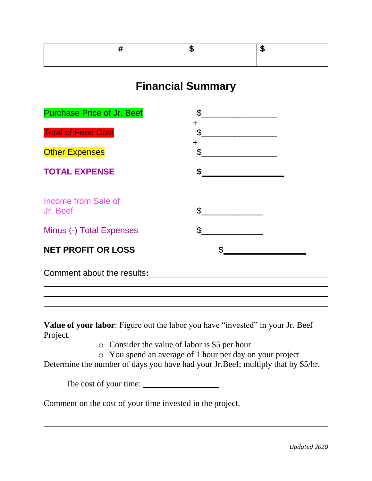#### **Financial Summary**

| <b>Purchase Price of Jr. Beef</b> | \$                                                                                                                                                                                                                                                                                                                                                                       |
|-----------------------------------|--------------------------------------------------------------------------------------------------------------------------------------------------------------------------------------------------------------------------------------------------------------------------------------------------------------------------------------------------------------------------|
| <b>Total of Feed Cost</b>         | ┿<br>$\begin{picture}(20,10) \put(0,0){\vector(1,0){100}} \put(15,0){\vector(1,0){100}} \put(15,0){\vector(1,0){100}} \put(15,0){\vector(1,0){100}} \put(15,0){\vector(1,0){100}} \put(15,0){\vector(1,0){100}} \put(15,0){\vector(1,0){100}} \put(15,0){\vector(1,0){100}} \put(15,0){\vector(1,0){100}} \put(15,0){\vector(1,0){100}} \put(15,0){\vector(1,0){100}} \$ |
| <b>Other Expenses</b>             | $\ddot{}$<br>$\mathbb{S}$<br><u> 1980 - Jan Stein Stein Stein Stein Stein Stein Stein Stein Stein Stein Stein Stein Stein Stein Stein Stein Stein Stein Stein Stein Stein Stein Stein Stein Stein Stein Stein Stein Stein Stein Stein Stein Stein Stein Stein</u>                                                                                                        |
| <b>TOTAL EXPENSE</b>              | \$                                                                                                                                                                                                                                                                                                                                                                       |
| Income from Sale of<br>Jr. Beef   | \$                                                                                                                                                                                                                                                                                                                                                                       |
| Minus (-) Total Expenses          | $\mathfrak{S}$                                                                                                                                                                                                                                                                                                                                                           |
| <b>NET PROFIT OR LOSS</b>         |                                                                                                                                                                                                                                                                                                                                                                          |
| Comment about the results:        |                                                                                                                                                                                                                                                                                                                                                                          |
|                                   |                                                                                                                                                                                                                                                                                                                                                                          |

**Value of your labor**: Figure out the labor you have "invested" in your Jr. Beef Project.

o Consider the value of labor is \$5 per hour

o You spend an average of 1 hour per day on your project

Determine the number of days you have had your Jr.Beef; multiply that by \$5/hr.

The cost of your time:

Comment on the cost of your time invested in the project.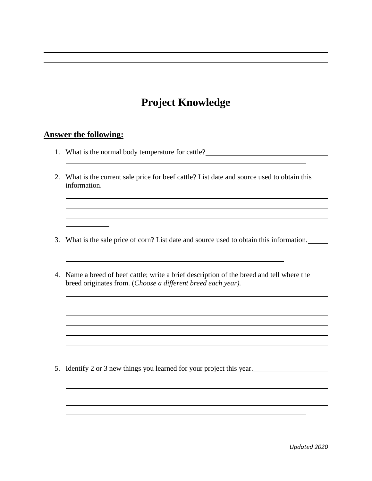## **Project Knowledge**

#### **Answer the following:**

- 1. What is the normal body temperature for cattle?
- 2. What is the current sale price for beef cattle? List date and source used to obtain this information.

<u> 1989 - Johann Stoff, amerikansk politiker (d. 1989)</u>

- 3. What is the sale price of corn? List date and source used to obtain this information.
- 4. Name a breed of beef cattle; write a brief description of the breed and tell where the breed originates from. (*Choose a different breed each year).*

5. Identify 2 or 3 new things you learned for your project this year.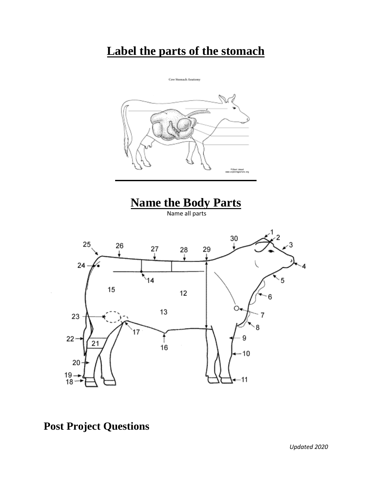# **Label the parts of the stomach**





## **Post Project Questions**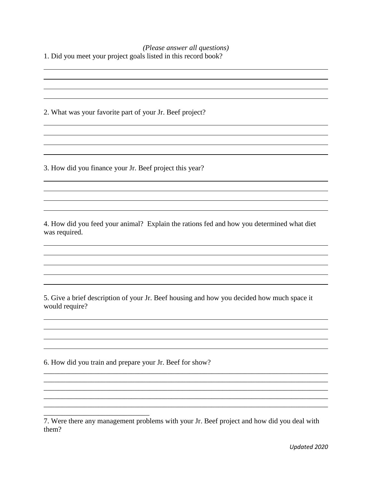*(Please answer all questions)* 1. Did you meet your project goals listed in this record book?

2. What was your favorite part of your Jr. Beef project?

3. How did you finance your Jr. Beef project this year?

4. How did you feed your animal? Explain the rations fed and how you determined what diet was required.

5. Give a brief description of your Jr. Beef housing and how you decided how much space it would require?

6. How did you train and prepare your Jr. Beef for show?

\_\_\_\_\_\_\_\_\_\_\_\_\_\_\_\_\_\_\_\_\_\_\_\_\_\_\_\_\_

\_\_\_\_\_\_\_\_\_\_\_\_\_\_\_\_\_\_\_\_\_\_\_\_\_\_\_\_\_\_\_\_\_\_\_\_\_\_\_\_\_\_\_\_\_\_\_\_\_\_\_\_\_\_\_\_\_\_\_\_\_\_\_\_\_\_\_\_\_\_\_\_\_\_\_\_\_\_ \_\_\_\_\_\_\_\_\_\_\_\_\_\_\_\_\_\_\_\_\_\_\_\_\_\_\_\_\_\_\_\_\_\_\_\_\_\_\_\_\_\_\_\_\_\_\_\_\_\_\_\_\_\_\_\_\_\_\_\_\_\_\_\_\_\_\_\_\_\_\_\_\_\_\_\_\_\_ \_\_\_\_\_\_\_\_\_\_\_\_\_\_\_\_\_\_\_\_\_\_\_\_\_\_\_\_\_\_\_\_\_\_\_\_\_\_\_\_\_\_\_\_\_\_\_\_\_\_\_\_\_\_\_\_\_\_\_\_\_\_\_\_\_\_\_\_\_\_\_\_\_\_\_\_\_\_ \_\_\_\_\_\_\_\_\_\_\_\_\_\_\_\_\_\_\_\_\_\_\_\_\_\_\_\_\_\_\_\_\_\_\_\_\_\_\_\_\_\_\_\_\_\_\_\_\_\_\_\_\_\_\_\_\_\_\_\_\_\_\_\_\_\_\_\_\_\_\_\_\_\_\_\_\_\_ \_\_\_\_\_\_\_\_\_\_\_\_\_\_\_\_\_\_\_\_\_\_\_\_\_\_\_\_\_\_\_\_\_\_\_\_\_\_\_\_\_\_\_\_\_\_\_\_\_\_\_\_\_\_\_\_\_\_\_\_\_\_\_\_\_\_\_\_\_\_\_\_\_\_\_\_\_\_

<sup>7.</sup> Were there any management problems with your Jr. Beef project and how did you deal with them?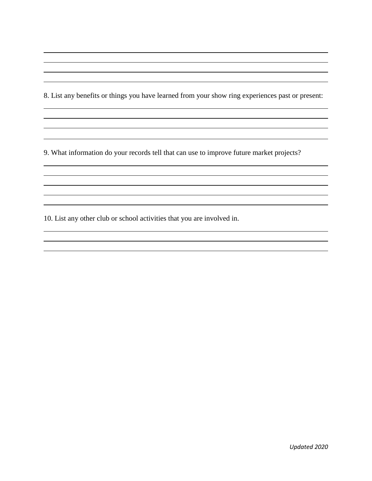8. List any benefits or things you have learned from your show ring experiences past or present:

9. What information do your records tell that can use to improve future market projects?

,我们也不会有什么。""我们的人,我们也不会有什么?""我们的人,我们也不会有什么?""我们的人,我们也不会有什么?""我们的人,我们也不会有什么?""我们的人

10. List any other club or school activities that you are involved in.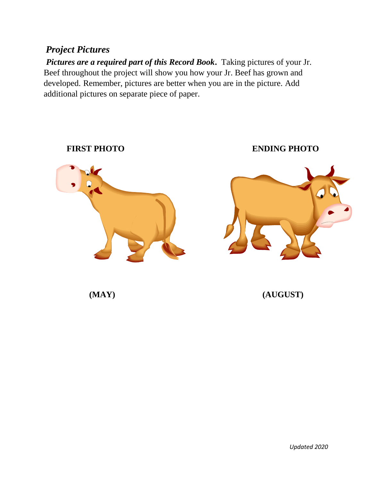#### *Project Pictures*

*Pictures are a required part of this Record Book.* Taking pictures of your Jr. Beef throughout the project will show you how your Jr. Beef has grown and developed. Remember, pictures are better when you are in the picture. Add additional pictures on separate piece of paper.

# **ENDING PHOTO ENDING PHOTO**

**(MAY) (AUGUST)**